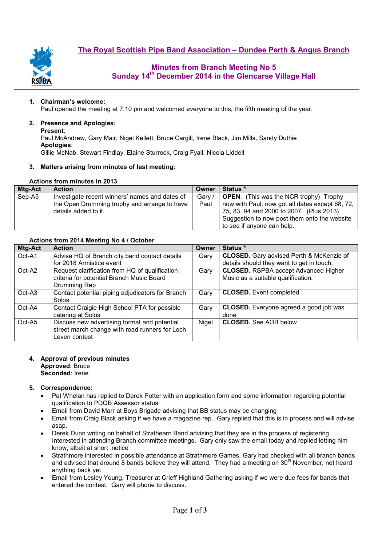**The Royal Scottish Pipe Band Association – Dundee Perth & Angus Branch**



# **Minutes from Branch Meeting No 5 Sunday 14th December 2014 in the Glencarse Village Hall**

### **1. Chairman's welcome:**

Paul opened the meeting at 7.10 pm and welcomed everyone to this, the fifth meeting of the year.

# **2. Presence and Apologies:**

**Present**:

Paul McAndrew, Gary Mair, Nigel Kellett, Bruce Cargill, Irene Black, Jim Mills, Sandy Duthie **Apologies**: Gillie McNab, Stewart Findlay, Elaine Sturrock, Craig Fyall, Nicola Liddell

### **3. Matters arising from minutes of last meeting:**

### **Actions from minutes in 2013**

| Mtg-Act | <b>Action</b>                                  | Owner  | <b>Status</b> *                                 |  |  |
|---------|------------------------------------------------|--------|-------------------------------------------------|--|--|
| Sep-A5  | Investigate recent winners' names and dates of | Gary / | <b>OPEN.</b> (This was the NCR trophy) Trophy   |  |  |
|         | the Open Drumming trophy and arrange to have   | Paul   | now with Paul, now got all dates except 68, 72, |  |  |
|         | details added to it.                           |        | 75, 83, 94 and 2000 to 2007. (Plus 2013)        |  |  |
|         |                                                |        | Suggestion to now post them onto the website    |  |  |
|         |                                                |        | to see if anyone can help.                      |  |  |

# **Actions from 2014 Meeting No 4 / October**

| Mtg-Act | <b>Action</b>                                    | Owner | Status *                                        |
|---------|--------------------------------------------------|-------|-------------------------------------------------|
| Oct-A1  | Advise HQ of Branch city band contact details    | Gary  | <b>CLOSED.</b> Gary advised Perth & McKenzie of |
|         | for 2018 Armistice event                         |       | details should they want to get in touch.       |
| Oct-A2  | Request clarification from HQ of qualification   | Gary  | <b>CLOSED.</b> RSPBA accept Advanced Higher     |
|         | criteria for potential Branch Music Board        |       | Music as a suitable qualification.              |
|         | Drumming Rep                                     |       |                                                 |
| Oct-A3  | Contact potential piping adjudicators for Branch | Gary  | <b>CLOSED.</b> Event completed                  |
|         | Solos                                            |       |                                                 |
| Oct-A4  | Contact Craigie High School PTA for possible     | Gary  | <b>CLOSED.</b> Everyone agreed a good job was   |
|         | catering at Solos                                |       | done                                            |
| Oct-A5  | Discuss new advertising format and potential     | Nigel | <b>CLOSED.</b> See AOB below                    |
|         | street march change with road runners for Loch   |       |                                                 |
|         | Leven contest                                    |       |                                                 |

#### **4. Approval of previous minutes Approved**: Bruce **Seconded**: Irene

### **5. Correspondence:**

- Pat Whelan has replied to Derek Potter with an application form and some information regarding potential qualification to PDQB Assessor status
- Email from David Marr at Boys Brigade advising that BB status may be changing
- Email from Craig Black asking if we have a magazine rep. Gary replied that this is in process and will advise asap.
- Derek Dunn writing on behalf of Strathearn Band advising that they are in the process of registering. Interested in attending Branch committee meetings. Gary only saw the email today and replied letting him know, albeit at short notice
- Strathmore interested in possible attendance at Strathmore Games. Gary had checked with all branch bands and advised that around 8 bands believe they will attend. They had a meeting on  $30<sup>th</sup>$  November, not heard anything back yet
- Email from Lesley Young, Treasurer at Crieff Highland Gathering asking if we were due fees for bands that entered the contest. Gary will phone to discuss.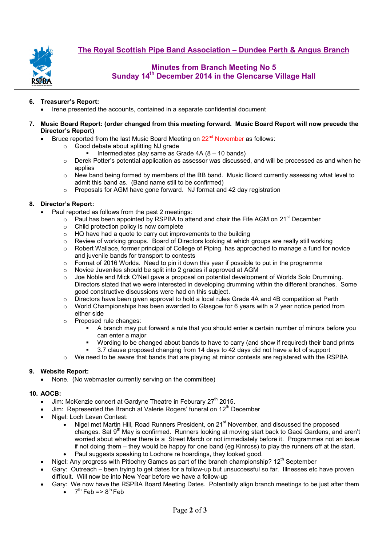

# **Minutes from Branch Meeting No 5 Sunday 14th December 2014 in the Glencarse Village Hall**

### **6. Treasurer's Report:**

- Irene presented the accounts, contained in a separate confidential document
- **7. Music Board Report: (order changed from this meeting forward. Music Board Report will now precede the Director's Report)** 
	- Bruce reported from the last Music Board Meeting on  $22<sup>nd</sup>$  November as follows:
		- o Good debate about splitting NJ grade
			- Intermediates play same as Grade 4A (8 10 bands)
		- o Derek Potter's potential application as assessor was discussed, and will be processed as and when he applies
		- $\circ$  New band being formed by members of the BB band. Music Board currently assessing what level to admit this band as. (Band name still to be confirmed)
		- o Proposals for AGM have gone forward. NJ format and 42 day registration

#### **8. Director's Report:**

- Paul reported as follows from the past 2 meetings:
	- $\circ$  Paul has been appointed by RSPBA to attend and chair the Fife AGM on 21<sup>st</sup> December
	- $\circ$  Child protection policy is now complete
	- o HQ have had a quote to carry out improvements to the building
	- o Review of working groups. Board of Directors looking at which groups are really still working
	- o Robert Wallace, former principal of College of Piping, has approached to manage a fund for novice and juvenile bands for transport to contests
	- o Format of 2016 Worlds. Need to pin it down this year if possible to put in the programme
	- o Novice Juveniles should be split into 2 grades if approved at AGM
	- o Joe Noble and Mick O'Neil gave a proposal on potential development of Worlds Solo Drumming. Directors stated that we were interested in developing drumming within the different branches. Some good constructive discussions were had on this subject.
	- o Directors have been given approval to hold a local rules Grade 4A and 4B competition at Perth
	- $\circ$  World Championships has been awarded to Glasgow for 6 years with a 2 year notice period from either side
	- o Proposed rule changes:
		- A branch may put forward a rule that you should enter a certain number of minors before you can enter a major
		- Wording to be changed about bands to have to carry (and show if required) their band prints
		- 3.7 clause proposed changing from 14 days to 42 days did not have a lot of support
	- $\circ$  We need to be aware that bands that are playing at minor contests are registered with the RSPBA

# **9. Website Report:**

• None. (No webmaster currently serving on the committee)

#### **10. AOCB:**

- Jim: McKenzie concert at Gardyne Theatre in Feburary 27<sup>th</sup> 2015.
	- Jim: Represented the Branch at Valerie Rogers' funeral on 12<sup>th</sup> December
- Nigel: Loch Leven Contest:
	- Nigel met Martin Hill, Road Runners President, on 21<sup>st</sup> November, and discussed the proposed changes. Sat  $9<sup>th</sup>$  May is confirmed. Runners looking at moving start back to Gacé Gardens, and aren't worried about whether there is a Street March or not immediately before it. Programmes not an issue if not doing them – they would be happy for one band (eg Kinross) to play the runners off at the start.
	- Paul suggests speaking to Lochore re hoardings, they looked good.
- Nigel: Any progress with Pitlochry Games as part of the branch championship? 12<sup>th</sup> September
- Gary: Outreach been trying to get dates for a follow-up but unsuccessful so far. Illnesses etc have proven difficult. Will now be into New Year before we have a follow-up
- Gary: We now have the RSPBA Board Meeting Dates. Potentially align branch meetings to be just after them
	- $\bullet$  7<sup>th</sup> Feb => 8<sup>th</sup> Feb